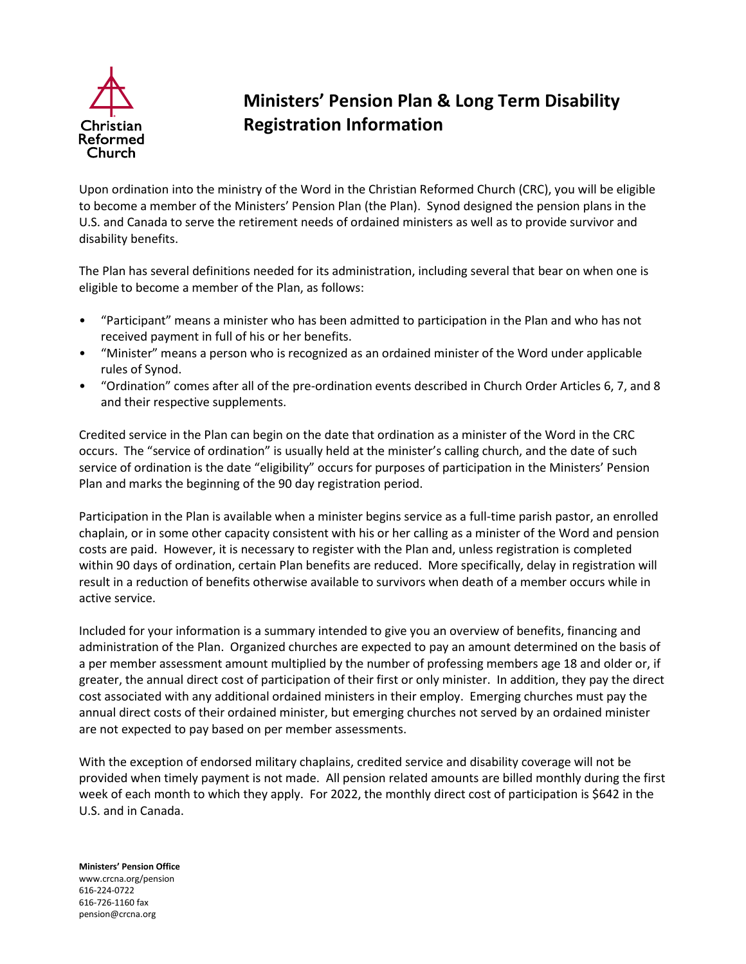

## **Ministers' Pension Plan & Long Term Disability Registration Information**

Upon ordination into the ministry of the Word in the Christian Reformed Church (CRC), you will be eligible to become a member of the Ministers' Pension Plan (the Plan). Synod designed the pension plans in the U.S. and Canada to serve the retirement needs of ordained ministers as well as to provide survivor and disability benefits.

The Plan has several definitions needed for its administration, including several that bear on when one is eligible to become a member of the Plan, as follows:

- "Participant" means a minister who has been admitted to participation in the Plan and who has not received payment in full of his or her benefits.
- "Minister" means a person who is recognized as an ordained minister of the Word under applicable rules of Synod.
- "Ordination" comes after all of the pre-ordination events described in Church Order Articles 6, 7, and 8 and their respective supplements.

Credited service in the Plan can begin on the date that ordination as a minister of the Word in the CRC occurs. The "service of ordination" is usually held at the minister's calling church, and the date of such service of ordination is the date "eligibility" occurs for purposes of participation in the Ministers' Pension Plan and marks the beginning of the 90 day registration period.

Participation in the Plan is available when a minister begins service as a full-time parish pastor, an enrolled chaplain, or in some other capacity consistent with his or her calling as a minister of the Word and pension costs are paid. However, it is necessary to register with the Plan and, unless registration is completed within 90 days of ordination, certain Plan benefits are reduced. More specifically, delay in registration will result in a reduction of benefits otherwise available to survivors when death of a member occurs while in active service.

Included for your information is a summary intended to give you an overview of benefits, financing and administration of the Plan. Organized churches are expected to pay an amount determined on the basis of a per member assessment amount multiplied by the number of professing members age 18 and older or, if greater, the annual direct cost of participation of their first or only minister. In addition, they pay the direct cost associated with any additional ordained ministers in their employ. Emerging churches must pay the annual direct costs of their ordained minister, but emerging churches not served by an ordained minister are not expected to pay based on per member assessments.

With the exception of endorsed military chaplains, credited service and disability coverage will not be provided when timely payment is not made. All pension related amounts are billed monthly during the first week of each month to which they apply. For 2022, the monthly direct cost of participation is \$642 in the U.S. and in Canada.

**Ministers' Pension Office** [www.crcna.org/pension](http://www.crcna.org/pension) 616-224-0722 616-726-1160 fax pension@crcna.org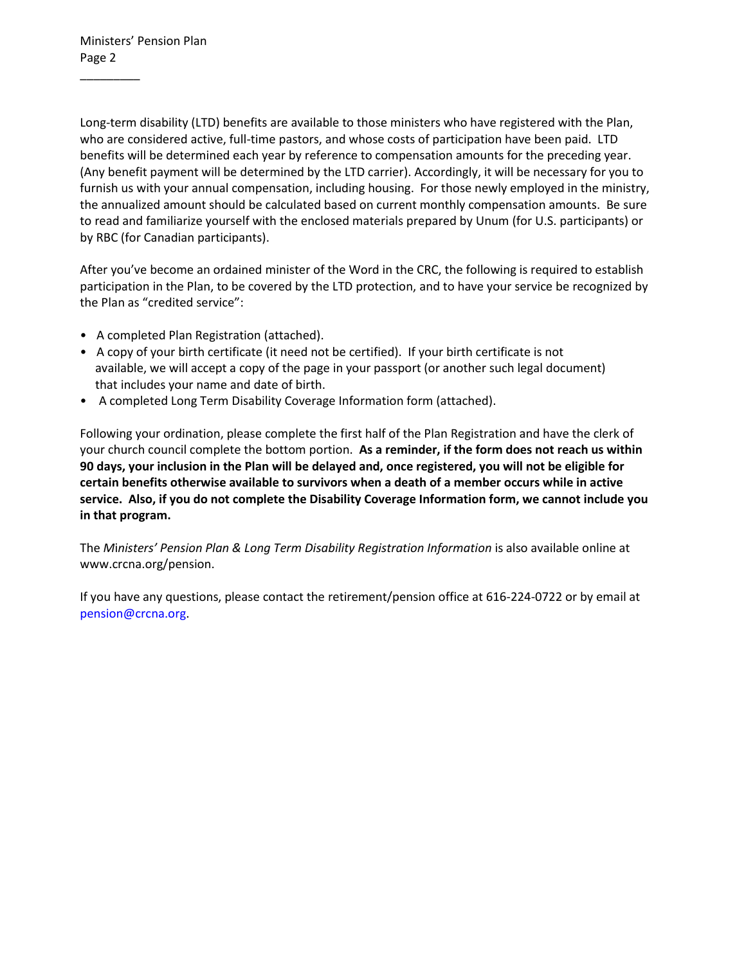$\overline{\phantom{a}}$ 

Long-term disability (LTD) benefits are available to those ministers who have registered with the Plan, who are considered active, full-time pastors, and whose costs of participation have been paid. LTD benefits will be determined each year by reference to compensation amounts for the preceding year. (Any benefit payment will be determined by the LTD carrier). Accordingly, it will be necessary for you to furnish us with your annual compensation, including housing. For those newly employed in the ministry, the annualized amount should be calculated based on current monthly compensation amounts. Be sure to read and familiarize yourself with the enclosed materials prepared by Unum (for U.S. participants) or by RBC (for Canadian participants).

After you've become an ordained minister of the Word in the CRC, the following is required to establish participation in the Plan, to be covered by the LTD protection, and to have your service be recognized by the Plan as "credited service":

- A completed Plan Registration (attached).
- A copy of your birth certificate (it need not be certified). If your birth certificate is not available, we will accept a copy of the page in your passport (or another such legal document) that includes your name and date of birth.
- A completed Long Term Disability Coverage Information form (attached).

Following your ordination, please complete the first half of the Plan Registration and have the clerk of your church council complete the bottom portion. **As a reminder, if the form does not reach us within 90 days, your inclusion in the Plan will be delayed and, once registered, you will not be eligible for certain benefits otherwise available to survivors when a death of a member occurs while in active service. Also, if you do not complete the Disability Coverage Information form, we cannot include you in that program.**

The *M*i*nisters' Pension Plan & Long Term Disability Registration Information* is also available online at www.crcna.org/pension.

If you have any questions, please contact the retirement/pension office at 616-224-0722 or by email at [pension@crcna.org.](mailto:pension@crcna.org)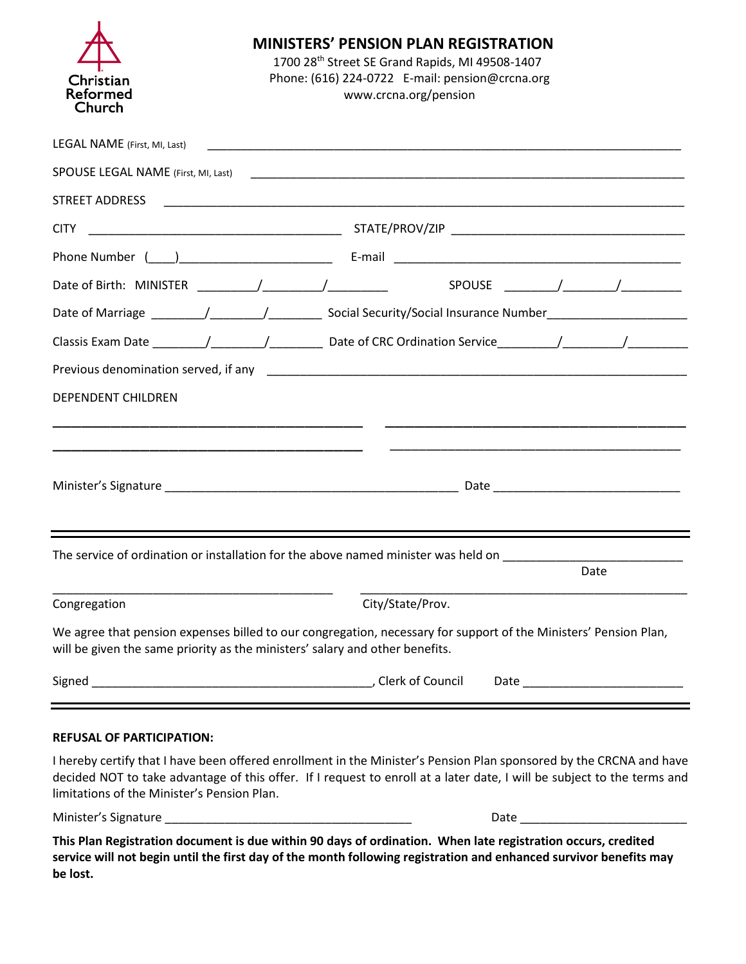| Christian<br>Reformed<br>Church                                                                                                                                                                  | <b>MINISTERS' PENSION PLAN REGISTRATION</b><br>1700 28th Street SE Grand Rapids, MI 49508-1407<br>Phone: (616) 224-0722 E-mail: pension@crcna.org<br>www.crcna.org/pension |                  |  |      |  |
|--------------------------------------------------------------------------------------------------------------------------------------------------------------------------------------------------|----------------------------------------------------------------------------------------------------------------------------------------------------------------------------|------------------|--|------|--|
| LEGAL NAME (First, MI, Last)                                                                                                                                                                     |                                                                                                                                                                            |                  |  |      |  |
|                                                                                                                                                                                                  |                                                                                                                                                                            |                  |  |      |  |
|                                                                                                                                                                                                  |                                                                                                                                                                            |                  |  |      |  |
| <b>CITY</b>                                                                                                                                                                                      |                                                                                                                                                                            |                  |  |      |  |
|                                                                                                                                                                                                  |                                                                                                                                                                            |                  |  |      |  |
|                                                                                                                                                                                                  |                                                                                                                                                                            |                  |  |      |  |
|                                                                                                                                                                                                  |                                                                                                                                                                            |                  |  |      |  |
|                                                                                                                                                                                                  |                                                                                                                                                                            |                  |  |      |  |
|                                                                                                                                                                                                  |                                                                                                                                                                            |                  |  |      |  |
| <b>DEPENDENT CHILDREN</b>                                                                                                                                                                        |                                                                                                                                                                            |                  |  |      |  |
|                                                                                                                                                                                                  |                                                                                                                                                                            |                  |  |      |  |
|                                                                                                                                                                                                  |                                                                                                                                                                            |                  |  |      |  |
|                                                                                                                                                                                                  |                                                                                                                                                                            |                  |  |      |  |
|                                                                                                                                                                                                  |                                                                                                                                                                            |                  |  |      |  |
|                                                                                                                                                                                                  |                                                                                                                                                                            |                  |  |      |  |
| The service of ordination or installation for the above named minister was held on                                                                                                               |                                                                                                                                                                            |                  |  | Date |  |
|                                                                                                                                                                                                  |                                                                                                                                                                            |                  |  |      |  |
| Congregation                                                                                                                                                                                     |                                                                                                                                                                            | City/State/Prov. |  |      |  |
| We agree that pension expenses billed to our congregation, necessary for support of the Ministers' Pension Plan,<br>will be given the same priority as the ministers' salary and other benefits. |                                                                                                                                                                            |                  |  |      |  |
|                                                                                                                                                                                                  |                                                                                                                                                                            | Clerk of Council |  |      |  |

## **REFUSAL OF PARTICIPATION:**

I hereby certify that I have been offered enrollment in the Minister's Pension Plan sponsored by the CRCNA and have decided NOT to take advantage of this offer. If I request to enroll at a later date, I will be subject to the terms and limitations of the Minister's Pension Plan.

Minister's Signature

**This Plan Registration document is due within 90 days of ordination. When late registration occurs, credited service will not begin until the first day of the month following registration and enhanced survivor benefits may be lost.**